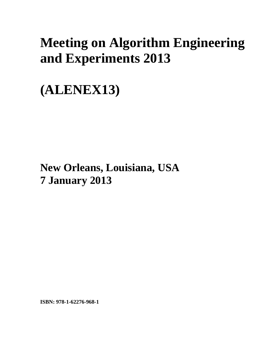# **Meeting on Algorithm Engineering and Experiments 2013**

**(ALENEX13)** 

**New Orleans, Louisiana, USA 7 January 2013**

**ISBN: 978-1-62276-968-1**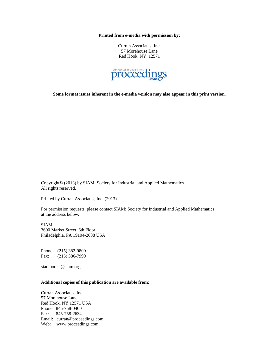**Printed from e-media with permission by:** 

Curran Associates, Inc. 57 Morehouse Lane Red Hook, NY 12571



**Some format issues inherent in the e-media version may also appear in this print version.** 

Copyright© (2013) by SIAM: Society for Industrial and Applied Mathematics All rights reserved.

Printed by Curran Associates, Inc. (2013)

For permission requests, please contact SIAM: Society for Industrial and Applied Mathematics at the address below.

SIAM 3600 Market Street, 6th Floor Philadelphia, PA 19104-2688 USA

Phone: (215) 382-9800 Fax: (215) 386-7999

siambooks@siam.org

#### **Additional copies of this publication are available from:**

Curran Associates, Inc. 57 Morehouse Lane Red Hook, NY 12571 USA Phone: 845-758-0400 Fax: 845-758-2634 Email: curran@proceedings.com Web: www.proceedings.com